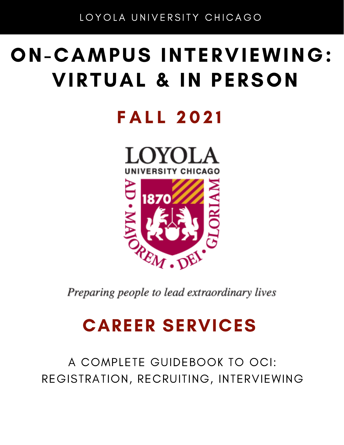# ON-CAMPUS INTERVIEWING: VIRTUAL & IN PERSON

# **FALL 2021**



Preparing people to lead extraordinary lives

# CAREER SERVICES

A COMPLETE GUIDEBOOK TO OCI: REGISTRATION, RECRUITING, INTERVIEWING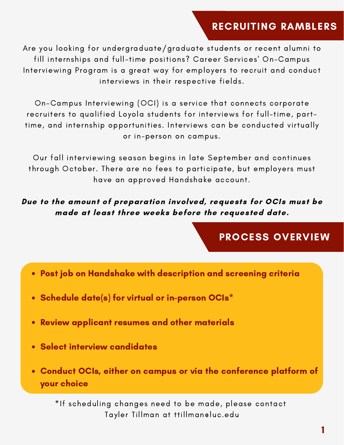### RECRUITING RAMBLERS

Are you looking for undergraduate/graduate students or recent alumni to fill internships and full-time positions? Career Services' On-Campus Interviewing Program is a great way for employers to recruit and conduct interviews in their respective fields.

On-Campus Interviewing (OCI) is a service that connects corporate recruiters to qualified Loyola students for interviews for full-time, parttime, and internship opportunities. Interviews can be conducted virtually or in-person on campus.

Our fall interviewing season begins in late September and continues through October. There are no fees to participate, but employers must have an approved Handshake account.

Due to the amount of preparation involved, requests for OCIs must be made at least three weeks before the requested date.

#### PROCESS OVERVIEW

- Post job on Handshake with description and screening criteria
- Schedule date(s) for virtual or in-person OCIs\*
- Review applicant resumes and other materials
- Select interview candidates
- Conduct OCIs, either on campus or via the conference platform of your choice

\*If scheduling changes need to be made, please contact Tayler Tillman at ttillman@luc.edu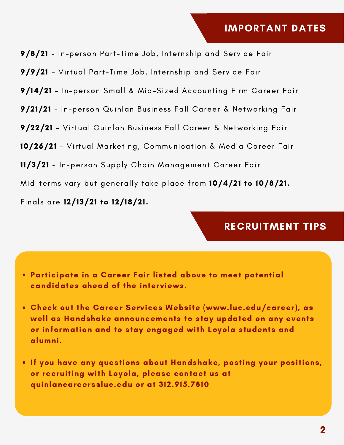9/8/21 - In-person Part-Time Job, Internship and Service Fair

9/9/21 - Virtual Part-Time Job, Internship and Service Fair

- 9/14/21 In-person Small & Mid-Sized Accounting Firm Career Fair
- 9/21/21 In-person Quinlan Business Fall Career & Networking Fair

9/22/21 - Virtual Quinlan Business Fall Career & Networking Fair

10/26/21 - Virtual Marketing, Communication & Media Career Fair

11/3/21 - In-person Supply Chain Management Career Fair

Mid-terms vary but generally take place from 10/4/21 to 10/8/21.

Finals are 12/13/21 to 12/18/21.

#### RECRUITMENT TIPS

- Participate in a Career Fair listed above to meet potential candidates ahead of the interviews.
- Check out the Career Services Website (www.luc.edu/career), as well as Handshake announcements to stay updated on any events or information and to stay engaged with Loyola students and alumni.
- . If you have any questions about Handshake, posting your positions, or recruiting with Loyola, please contact us at quinlancareers@luc.edu or at 312.915.7810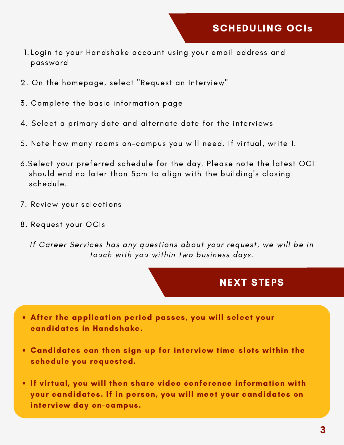- Login to your Handshake account using your email address and 1. password
- 2. On the homepage, select "Request an Interview"
- 3. Complete the basic information page
- 4. Select a primary date and alternate date for the interviews
- 5. Note how many rooms on-campus you will need. If virtual, write 1.
- 6.Select your preferred schedule for the day. Please note the latest OCI should end no later than 5pm to align with the building's closing schedule.
- 7. Review your selections
- 8. Request your OCIs

If Career Services has any questions about your request, we will be in touch with you within two business days.

#### NEXT STEPS

- After the application period passes, you will select your candidates in Handshake.
- Candidates can then sign-up for interview time-slots within the schedule you requested.
- If virtual, you will then share video conference information with your candidates. If in person, you will meet your candidates on interview day on-campus.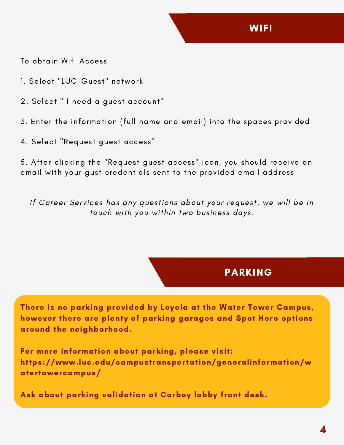To obtain Wifi Access

- 1. Select "LUC-Guest" network
- 2. Select " I need a guest account"
- 3. Enter the information (full name and email) into the spaces provided
- 4. Select "Request guest access"

5. After clicking the "Request guest access" icon, you should receive an email with your gust credentials sent to the provided email address

If Career Services has any questions about your request, we will be in touch with you within two business days.

#### PARKING

There is no parking provided by Loyola at the Water Tower Campus, however there are plenty of parking garages and Spot Hero options around the neighborhood.

For more information about parking, please visit: https://www.luc.edu/campustransportation/generalinformation/w atertowercampus/

Ask about parking validation at Corboy lobby front desk.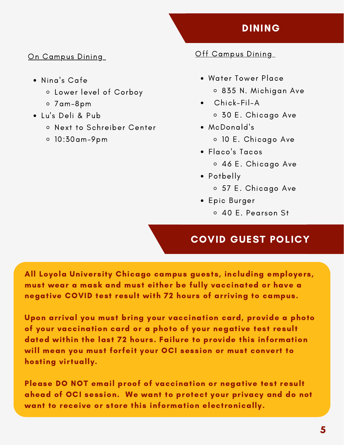## DINING

#### On Campus Dining

- Nina's Cafe
	- Lower level of Corboy
	- 7am-8pm
- Lu's Deli & Pub
	- Next to Schreiber Center
	- 10:30am-9pm

#### Off Campus Dining

- Water Tower Place 835 N. Michigan Ave
- Chick-Fil-A 30 E. Chicago Ave
- McDonald's 10 E. Chicago Ave
- Flaco's Tacos 46 E. Chicago Ave
- Potbelly
	- 57 E. Chicago Ave
- Epic Burger
	- 40 E. Pearson St

# COVID GUEST POLICY

All Loyola University Chicago campus guests, including employers, must wear a mask and must either be fully vaccinated or have a negative COVID test result with 72 hours of arriving to campus.

Upon arrival you must bring your vaccination card, provide a photo of your vaccination card or a photo of your negative test result dated within the last 72 hours. Failure to provide this information will mean you must forfeit your OCI session or must convert to hosting virtually.

Please DO NOT email proof of vaccination or negative test result ahead of OCI session. We want to protect your privacy and do not want to receive or store this information electronically.